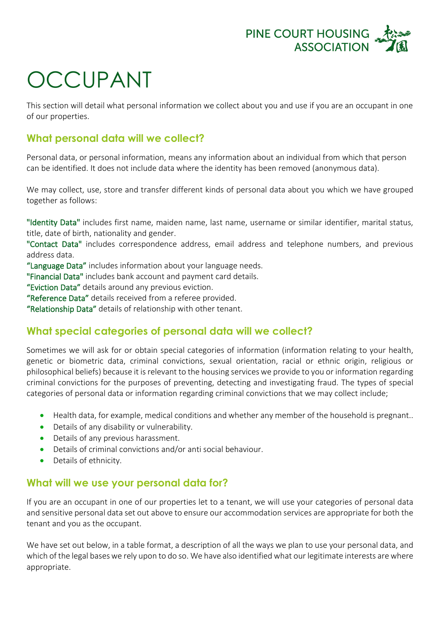

## OCCUPANT

This section will detail what personal information we collect about you and use if you are an occupant in one of our properties.

## **What personal data will we collect?**

Personal data, or personal information, means any information about an individual from which that person can be identified. It does not include data where the identity has been removed (anonymous data).

We may collect, use, store and transfer different kinds of personal data about you which we have grouped together as follows:

"Identity Data" includes first name, maiden name, last name, username or similar identifier, marital status, title, date of birth, nationality and gender.

"Contact Data" includes correspondence address, email address and telephone numbers, and previous address data.

"Language Data" includes information about your language needs.

"Financial Data" includes bank account and payment card details.

"Eviction Data" details around any previous eviction.

"Reference Data" details received from a referee provided.

"Relationship Data" details of relationship with other tenant.

## **What special categories of personal data will we collect?**

Sometimes we will ask for or obtain special categories of information (information relating to your health, genetic or biometric data, criminal convictions, sexual orientation, racial or ethnic origin, religious or philosophical beliefs) because it is relevant to the housing services we provide to you or information regarding criminal convictions for the purposes of preventing, detecting and investigating fraud. The types of special categories of personal data or information regarding criminal convictions that we may collect include;

- Health data, for example, medical conditions and whether any member of the household is pregnant..
- Details of any disability or vulnerability.
- Details of any previous harassment.
- Details of criminal convictions and/or anti social behaviour.
- Details of ethnicity.

## **What will we use your personal data for?**

If you are an occupant in one of our properties let to a tenant, we will use your categories of personal data and sensitive personal data set out above to ensure our accommodation services are appropriate for both the tenant and you as the occupant.

We have set out below, in a table format, a description of all the ways we plan to use your personal data, and which of the legal bases we rely upon to do so. We have also identified what our legitimate interests are where appropriate.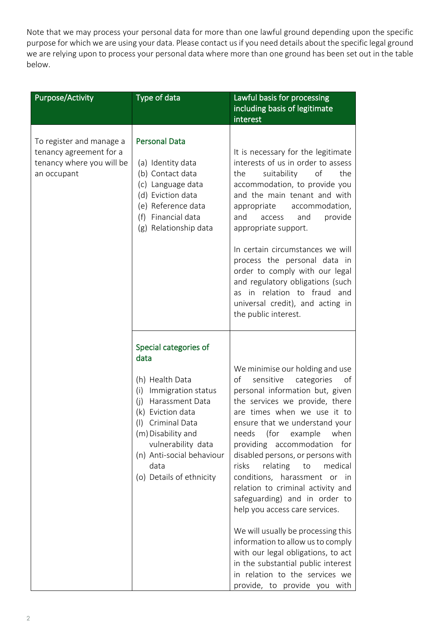Note that we may process your personal data for more than one lawful ground depending upon the specific purpose for which we are using your data. Please contact us if you need details about the specific legal ground we are relying upon to process your personal data where more than one ground has been set out in the table below.

| <b>Purpose/Activity</b>                                                                         | Type of data                                                                                                                                                                                                                                                   | Lawful basis for processing<br>including basis of legitimate<br>interest                                                                                                                                                                                                                                                                                                                                                                                                                                                                                                                                                                                                                                                       |
|-------------------------------------------------------------------------------------------------|----------------------------------------------------------------------------------------------------------------------------------------------------------------------------------------------------------------------------------------------------------------|--------------------------------------------------------------------------------------------------------------------------------------------------------------------------------------------------------------------------------------------------------------------------------------------------------------------------------------------------------------------------------------------------------------------------------------------------------------------------------------------------------------------------------------------------------------------------------------------------------------------------------------------------------------------------------------------------------------------------------|
| To register and manage a<br>tenancy agreement for a<br>tenancy where you will be<br>an occupant | <b>Personal Data</b><br>(a) Identity data<br>(b) Contact data<br>(c) Language data<br>(d) Eviction data<br>(e) Reference data<br>(f) Financial data<br>(g) Relationship data                                                                                   | It is necessary for the legitimate<br>interests of us in order to assess<br>suitability<br>of<br>the<br>the<br>accommodation, to provide you<br>and the main tenant and with<br>accommodation,<br>appropriate<br>provide<br>and<br>access<br>and<br>appropriate support.<br>In certain circumstances we will<br>process the personal data in<br>order to comply with our legal<br>and regulatory obligations (such<br>as in relation to fraud and<br>universal credit), and acting in<br>the public interest.                                                                                                                                                                                                                  |
|                                                                                                 | Special categories of<br>data<br>(h) Health Data<br>Immigration status<br>(i)<br>Harassment Data<br>(i)<br>(k) Eviction data<br>(I) Criminal Data<br>(m) Disability and<br>vulnerability data<br>(n) Anti-social behaviour<br>data<br>(o) Details of ethnicity | We minimise our holding and use<br>sensitive<br>categories<br>of<br>of<br>personal information but, given<br>the services we provide, there<br>are times when we use it to<br>ensure that we understand your<br>needs<br>(for<br>example<br>when<br>providing accommodation<br>for<br>disabled persons, or persons with<br>risks<br>relating<br>to<br>medical<br>conditions, harassment or in<br>relation to criminal activity and<br>safeguarding) and in order to<br>help you access care services.<br>We will usually be processing this<br>information to allow us to comply<br>with our legal obligations, to act<br>in the substantial public interest<br>in relation to the services we<br>provide, to provide you with |